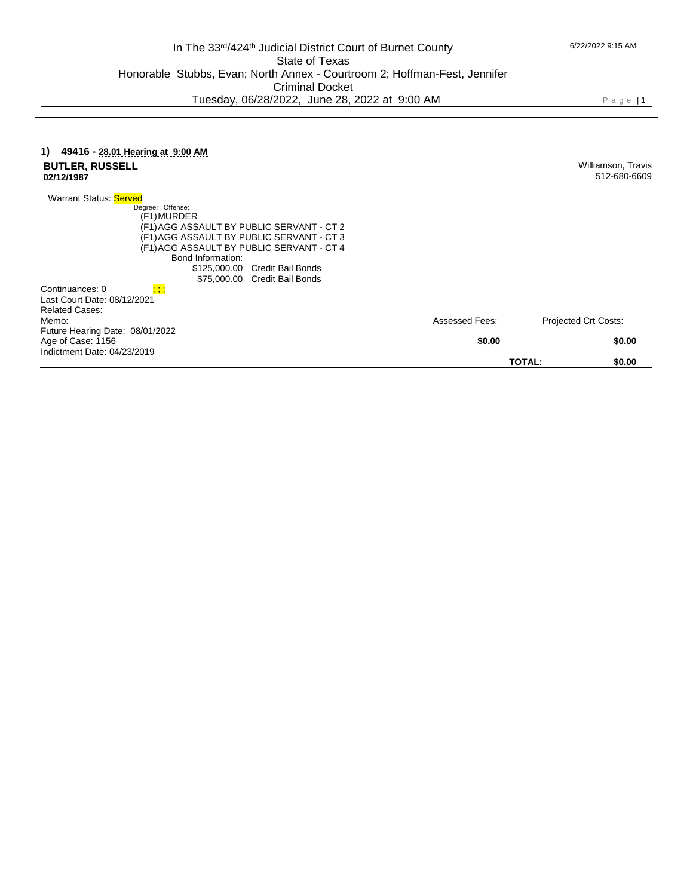Williamson, Travis 512-680-6609

## **1) 49416 - 28.01 Hearing at 9:00 AM BUTLER, RUSSELL 02/12/1987**

Warrant Status: Served Degree: Offense: (F1) MURDER (F1) AGG ASSAULT BY PUBLIC SERVANT - CT 2 (F1) AGG ASSAULT BY PUBLIC SERVANT - CT 3 (F1) AGG ASSAULT BY PUBLIC SERVANT - CT 4 Bond Information: \$125,000.00 Credit Bail Bonds \$75,000.00 Credit Bail Bonds Continuances: 0 Last Court Date: 08/12/2021 Related Cases: Memo: Future Hearing Date: 08/01/2022 Assessed Fees: Projected Crt Costs: Age of Case: 1156 Indictment Date: 04/23/2019 **\$0.00 \$0.00 TOTAL: \$0.00**